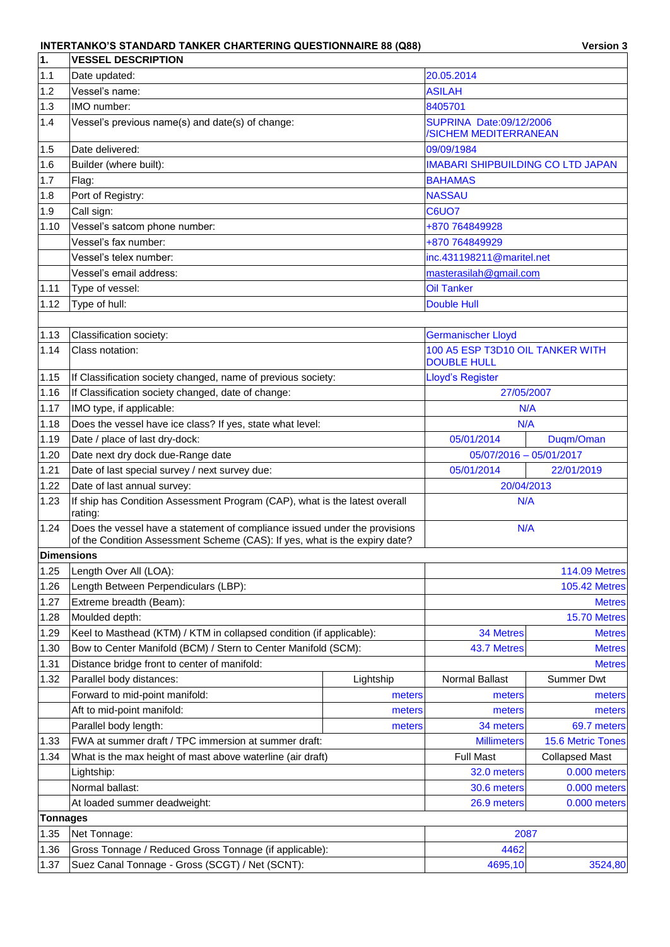## **INTERTANKO'S STANDARD TANKER CHARTERING QUESTIONNAIRE 88 (Q88)**

| <b>Version 3</b> |  |
|------------------|--|
|------------------|--|

| 1.         | <b>VESSEL DESCRIPTION</b>                                                                                                                                |               |                                                        |                       |  |
|------------|----------------------------------------------------------------------------------------------------------------------------------------------------------|---------------|--------------------------------------------------------|-----------------------|--|
| 1.1        | Date updated:                                                                                                                                            | 20.05.2014    |                                                        |                       |  |
| 1.2        | Vessel's name:                                                                                                                                           | <b>ASILAH</b> |                                                        |                       |  |
| 1.3        | IMO number:                                                                                                                                              |               | 8405701                                                |                       |  |
| 1.4        | Vessel's previous name(s) and date(s) of change:                                                                                                         |               | SUPRINA Date:09/12/2006<br>/SICHEM MEDITERRANEAN       |                       |  |
| 1.5        | Date delivered:                                                                                                                                          |               | 09/09/1984                                             |                       |  |
| 1.6        | Builder (where built):                                                                                                                                   |               | <b>IMABARI SHIPBUILDING CO LTD JAPAN</b>               |                       |  |
| 1.7        | Flag:                                                                                                                                                    |               | <b>BAHAMAS</b>                                         |                       |  |
| 1.8        | Port of Registry:                                                                                                                                        |               | <b>NASSAU</b>                                          |                       |  |
| 1.9        | Call sign:                                                                                                                                               |               | <b>C6UO7</b>                                           |                       |  |
| 1.10       | Vessel's satcom phone number:                                                                                                                            |               | +870 764849928                                         |                       |  |
|            | Vessel's fax number:                                                                                                                                     |               | +870 764849929                                         |                       |  |
|            | Vessel's telex number:                                                                                                                                   |               | inc.431198211@maritel.net                              |                       |  |
|            | Vessel's email address:                                                                                                                                  |               | masterasilah@gmail.com                                 |                       |  |
| 1.11       | Type of vessel:                                                                                                                                          |               | <b>Oil Tanker</b>                                      |                       |  |
| 1.12       | Type of hull:                                                                                                                                            |               | <b>Double Hull</b>                                     |                       |  |
|            |                                                                                                                                                          |               |                                                        |                       |  |
| 1.13       | Classification society:                                                                                                                                  |               | <b>Germanischer Lloyd</b>                              |                       |  |
| 1.14       | Class notation:                                                                                                                                          |               | 100 A5 ESP T3D10 OIL TANKER WITH<br><b>DOUBLE HULL</b> |                       |  |
| 1.15       | If Classification society changed, name of previous society:                                                                                             |               | Lloyd's Register                                       |                       |  |
| 1.16       | If Classification society changed, date of change:                                                                                                       |               | 27/05/2007                                             |                       |  |
| 1.17       | IMO type, if applicable:                                                                                                                                 | N/A           |                                                        |                       |  |
| 1.18       | Does the vessel have ice class? If yes, state what level:                                                                                                |               | N/A                                                    |                       |  |
| 1.19       | Date / place of last dry-dock:                                                                                                                           |               | 05/01/2014                                             | Duqm/Oman             |  |
| 1.20       | Date next dry dock due-Range date                                                                                                                        |               | 05/07/2016 - 05/01/2017                                |                       |  |
| 1.21       | Date of last special survey / next survey due:                                                                                                           |               | 05/01/2014                                             | 22/01/2019            |  |
| 1.22       | Date of last annual survey:                                                                                                                              |               | 20/04/2013                                             |                       |  |
| 1.23       | If ship has Condition Assessment Program (CAP), what is the latest overall<br>rating:                                                                    |               | N/A                                                    |                       |  |
| 1.24       | Does the vessel have a statement of compliance issued under the provisions<br>of the Condition Assessment Scheme (CAS): If yes, what is the expiry date? |               | N/A                                                    |                       |  |
| Dimensions |                                                                                                                                                          |               |                                                        |                       |  |
| 1.25       | Length Over All (LOA):                                                                                                                                   |               |                                                        | <b>114.09 Metres</b>  |  |
| 1.26       | Length Between Perpendiculars (LBP):                                                                                                                     |               | <b>105.42 Metres</b>                                   |                       |  |
| 1.27       | Extreme breadth (Beam):                                                                                                                                  |               |                                                        | <b>Metres</b>         |  |
| 1.28       | Moulded depth:                                                                                                                                           |               |                                                        | 15.70 Metres          |  |
| 1.29       | Keel to Masthead (KTM) / KTM in collapsed condition (if applicable):                                                                                     |               | <b>34 Metres</b>                                       | <b>Metres</b>         |  |
| 1.30       | Bow to Center Manifold (BCM) / Stern to Center Manifold (SCM):                                                                                           |               | 43.7 Metres                                            | <b>Metres</b>         |  |
| 1.31       | Distance bridge front to center of manifold:                                                                                                             |               |                                                        | <b>Metres</b>         |  |
| 1.32       | Parallel body distances:                                                                                                                                 | Lightship     | Normal Ballast                                         | Summer Dwt            |  |
|            | Forward to mid-point manifold:                                                                                                                           | meters        | meters                                                 | meters                |  |
|            | Aft to mid-point manifold:                                                                                                                               | meters        | meters                                                 | meters                |  |
|            | Parallel body length:                                                                                                                                    | meters        | 34 meters                                              | 69.7 meters           |  |
| 1.33       | FWA at summer draft / TPC immersion at summer draft:                                                                                                     |               | <b>Millimeters</b>                                     | 15.6 Metric Tones     |  |
| 1.34       | What is the max height of mast above waterline (air draft)                                                                                               |               | <b>Full Mast</b>                                       | <b>Collapsed Mast</b> |  |
|            | Lightship:                                                                                                                                               |               | 32.0 meters                                            | 0.000 meters          |  |
|            | Normal ballast:                                                                                                                                          |               | 30.6 meters                                            | 0.000 meters          |  |
|            | At loaded summer deadweight:                                                                                                                             | 26.9 meters   | 0.000 meters                                           |                       |  |
| Tonnages   |                                                                                                                                                          |               |                                                        |                       |  |
| 1.35       | Net Tonnage:                                                                                                                                             | 2087          |                                                        |                       |  |
| 1.36       | Gross Tonnage / Reduced Gross Tonnage (if applicable):                                                                                                   |               | 4462                                                   |                       |  |
| 1.37       | Suez Canal Tonnage - Gross (SCGT) / Net (SCNT):                                                                                                          |               | 4695,10                                                | 3524,80               |  |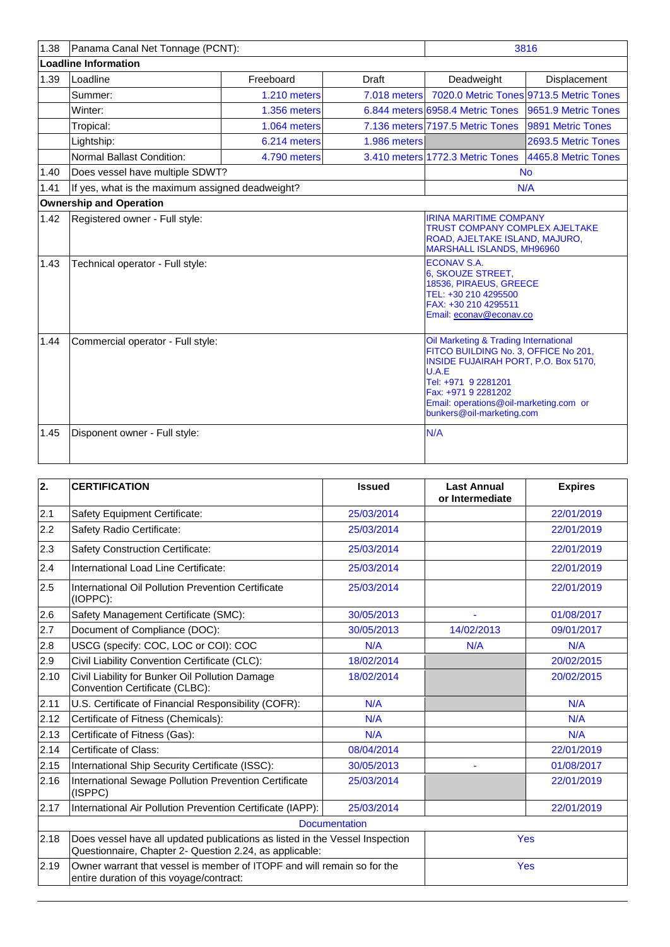| 1.38 | Panama Canal Net Tonnage (PCNT):                 |              |              |                                                                                                                                                                                                                                                     | 3816                                    |
|------|--------------------------------------------------|--------------|--------------|-----------------------------------------------------------------------------------------------------------------------------------------------------------------------------------------------------------------------------------------------------|-----------------------------------------|
|      | <b>Loadline Information</b>                      |              |              |                                                                                                                                                                                                                                                     |                                         |
| 1.39 | Loadline                                         | Freeboard    | <b>Draft</b> | Deadweight                                                                                                                                                                                                                                          | <b>Displacement</b>                     |
|      | Summer:                                          | 1.210 meters | 7.018 meters |                                                                                                                                                                                                                                                     | 7020.0 Metric Tones 9713.5 Metric Tones |
|      | Winter:                                          | 1.356 meters |              | 6.844 meters 6958.4 Metric Tones                                                                                                                                                                                                                    | 9651.9 Metric Tones                     |
|      | Tropical:                                        | 1.064 meters |              | 7.136 meters 7197.5 Metric Tones                                                                                                                                                                                                                    | 9891 Metric Tones                       |
|      | Lightship:                                       | 6.214 meters | 1.986 meters |                                                                                                                                                                                                                                                     | 2693.5 Metric Tones                     |
|      | Normal Ballast Condition:                        | 4.790 meters |              | 3.410 meters 1772.3 Metric Tones                                                                                                                                                                                                                    | 4465.8 Metric Tones                     |
| 1.40 | Does vessel have multiple SDWT?                  |              |              |                                                                                                                                                                                                                                                     | <b>No</b>                               |
| 1.41 | If yes, what is the maximum assigned deadweight? |              |              |                                                                                                                                                                                                                                                     | N/A                                     |
|      | <b>Ownership and Operation</b>                   |              |              |                                                                                                                                                                                                                                                     |                                         |
| 1.42 | Registered owner - Full style:                   |              |              | <b>IRINA MARITIME COMPANY</b><br><b>TRUST COMPANY COMPLEX AJELTAKE</b><br>ROAD, AJELTAKE ISLAND, MAJURO,<br><b>MARSHALL ISLANDS, MH96960</b>                                                                                                        |                                         |
| 1.43 | Technical operator - Full style:                 |              |              | <b>ECONAV S.A.</b><br>6, SKOUZE STREET,<br>18536, PIRAEUS, GREECE<br>TEL: +30 210 4295500<br>FAX: +30 210 4295511<br>Email: econav@econav.co                                                                                                        |                                         |
| 1.44 | Commercial operator - Full style:                |              |              | Oil Marketing & Trading International<br>FITCO BUILDING No. 3, OFFICE No 201,<br>INSIDE FUJAIRAH PORT, P.O. Box 5170,<br>U.A.E<br>Tel: +971 9 2281201<br>Fax: +971 9 2281202<br>Email: operations@oil-marketing.com or<br>bunkers@oil-marketing.com |                                         |
| 1.45 | Disponent owner - Full style:                    |              |              | N/A                                                                                                                                                                                                                                                 |                                         |

| $\overline{2}$ . | <b>CERTIFICATION</b>                                                                                                                    | <b>Issued</b>        | <b>Last Annual</b><br>or Intermediate | <b>Expires</b> |
|------------------|-----------------------------------------------------------------------------------------------------------------------------------------|----------------------|---------------------------------------|----------------|
| 2.1              | Safety Equipment Certificate:                                                                                                           | 25/03/2014           |                                       | 22/01/2019     |
| 2.2              | Safety Radio Certificate:                                                                                                               | 25/03/2014           |                                       | 22/01/2019     |
| 2.3              | <b>Safety Construction Certificate:</b>                                                                                                 | 25/03/2014           |                                       | 22/01/2019     |
| 2.4              | International Load Line Certificate:                                                                                                    | 25/03/2014           |                                       | 22/01/2019     |
| 2.5              | International Oil Pollution Prevention Certificate<br>(IOPPC):                                                                          | 25/03/2014           |                                       | 22/01/2019     |
| 2.6              | Safety Management Certificate (SMC):                                                                                                    | 30/05/2013           |                                       | 01/08/2017     |
| 2.7              | Document of Compliance (DOC):                                                                                                           | 30/05/2013           | 14/02/2013                            | 09/01/2017     |
| 2.8              | USCG (specify: COC, LOC or COI): COC                                                                                                    | N/A                  | N/A                                   | N/A            |
| 2.9              | Civil Liability Convention Certificate (CLC):                                                                                           | 18/02/2014           |                                       | 20/02/2015     |
| 2.10             | Civil Liability for Bunker Oil Pollution Damage<br>Convention Certificate (CLBC):                                                       | 18/02/2014           |                                       | 20/02/2015     |
| 2.11             | U.S. Certificate of Financial Responsibility (COFR):                                                                                    | N/A                  |                                       | N/A            |
| 2.12             | Certificate of Fitness (Chemicals):                                                                                                     | N/A                  |                                       | N/A            |
| 2.13             | Certificate of Fitness (Gas):                                                                                                           | N/A                  |                                       | N/A            |
| 2.14             | Certificate of Class:                                                                                                                   | 08/04/2014           |                                       | 22/01/2019     |
| 2.15             | International Ship Security Certificate (ISSC):                                                                                         | 30/05/2013           |                                       | 01/08/2017     |
| 2.16             | International Sewage Pollution Prevention Certificate<br>(ISPPC)                                                                        | 25/03/2014           |                                       | 22/01/2019     |
| 2.17             | International Air Pollution Prevention Certificate (IAPP):                                                                              | 25/03/2014           |                                       | 22/01/2019     |
|                  |                                                                                                                                         | <b>Documentation</b> |                                       |                |
| 2.18             | Does vessel have all updated publications as listed in the Vessel Inspection<br>Questionnaire, Chapter 2- Question 2.24, as applicable: | <b>Yes</b>           |                                       |                |
| 2.19             | Owner warrant that vessel is member of ITOPF and will remain so for the<br>entire duration of this voyage/contract:                     | <b>Yes</b>           |                                       |                |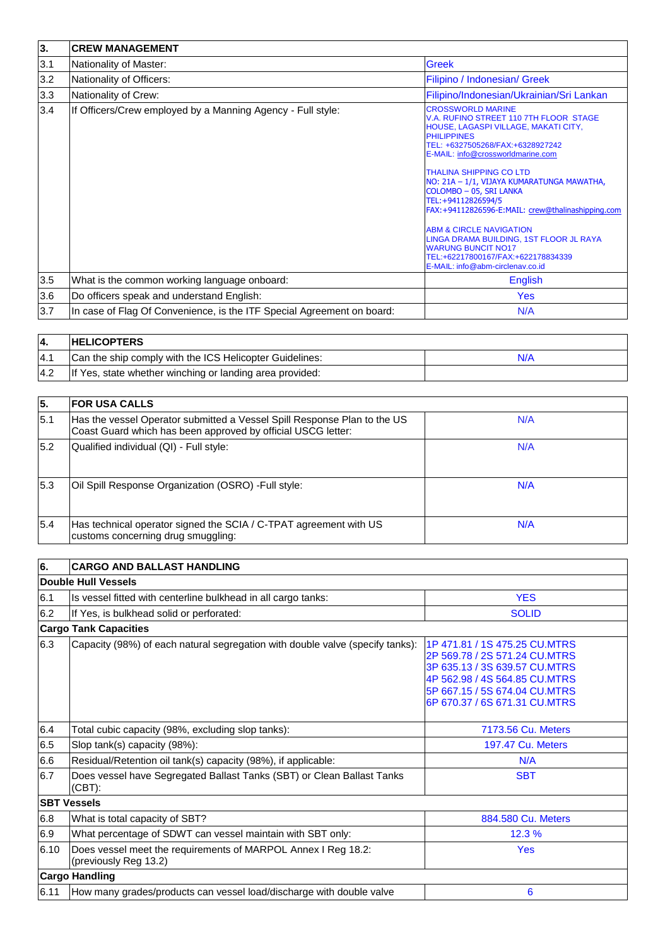| 3.  | <b>CREW MANAGEMENT</b>                                                 |                                                                                                                                                                                                                                                                                                                                                                                                                                                                                                                                                                              |  |  |  |
|-----|------------------------------------------------------------------------|------------------------------------------------------------------------------------------------------------------------------------------------------------------------------------------------------------------------------------------------------------------------------------------------------------------------------------------------------------------------------------------------------------------------------------------------------------------------------------------------------------------------------------------------------------------------------|--|--|--|
| 3.1 | Nationality of Master:                                                 | <b>Greek</b>                                                                                                                                                                                                                                                                                                                                                                                                                                                                                                                                                                 |  |  |  |
| 3.2 | Nationality of Officers:                                               | Filipino / Indonesian/ Greek                                                                                                                                                                                                                                                                                                                                                                                                                                                                                                                                                 |  |  |  |
| 3.3 | Nationality of Crew:                                                   | Filipino/Indonesian/Ukrainian/Sri Lankan                                                                                                                                                                                                                                                                                                                                                                                                                                                                                                                                     |  |  |  |
| 3.4 | If Officers/Crew employed by a Manning Agency - Full style:            | <b>CROSSWORLD MARINE</b><br>V.A. RUFINO STREET 110 7TH FLOOR STAGE<br>HOUSE, LAGASPI VILLAGE, MAKATI CITY,<br><b>PHILIPPINES</b><br>TEL: +6327505268/FAX:+6328927242<br>E-MAIL: info@crossworldmarine.com<br><b>THALINA SHIPPING CO LTD</b><br>NO: 21A - 1/1, VIJAYA KUMARATUNGA MAWATHA,<br>COLOMBO - 05, SRI LANKA<br>TEL:+94112826594/5<br>FAX:+94112826596-E:MAIL: crew@thalinashipping.com<br>ABM & CIRCLE NAVIGATION<br>LINGA DRAMA BUILDING, 1ST FLOOR JL RAYA<br><b>WARUNG BUNCIT NO17</b><br>TEL:+62217800167/FAX:+622178834339<br>E-MAIL: info@abm-circlenav.co.id |  |  |  |
| 3.5 | What is the common working language onboard:                           | <b>English</b>                                                                                                                                                                                                                                                                                                                                                                                                                                                                                                                                                               |  |  |  |
| 3.6 | Do officers speak and understand English:                              | <b>Yes</b>                                                                                                                                                                                                                                                                                                                                                                                                                                                                                                                                                                   |  |  |  |
| 3.7 | In case of Flag Of Convenience, is the ITF Special Agreement on board: | N/A                                                                                                                                                                                                                                                                                                                                                                                                                                                                                                                                                                          |  |  |  |

|            | <b>HELICOPTERS</b>                                       |     |
|------------|----------------------------------------------------------|-----|
| <b>4.1</b> | Can the ship comply with the ICS Helicopter Guidelines:  | N/A |
| 4.2        | If Yes, state whether winching or landing area provided: |     |

| 5.   | <b>FOR USA CALLS</b>                                                                                                                     |     |
|------|------------------------------------------------------------------------------------------------------------------------------------------|-----|
| 15.1 | Has the vessel Operator submitted a Vessel Spill Response Plan to the US<br>Coast Guard which has been approved by official USCG letter: | N/A |
| 5.2  | Qualified individual (QI) - Full style:                                                                                                  | N/A |
| 5.3  | Oil Spill Response Organization (OSRO) -Full style:                                                                                      | N/A |
| 5.4  | Has technical operator signed the SCIA / C-TPAT agreement with US<br>customs concerning drug smuggling:                                  | N/A |

| Double Hull Vessels<br><b>YES</b><br>Is vessel fitted with centerline bulkhead in all cargo tanks:<br><b>SOLID</b><br>If Yes, is bulkhead solid or perforated:<br><b>Cargo Tank Capacities</b><br>Capacity (98%) of each natural segregation with double valve (specify tanks):<br>1P 471.81 / 1S 475.25 CU.MTRS<br>2P 569.78 / 2S 571.24 CU.MTRS<br>3P 635.13 / 3S 639.57 CU.MTRS<br>4P 562.98 / 4S 564.85 CU.MTRS<br>5P 667.15 / 5S 674.04 CU.MTRS<br>6P 670.37 / 6S 671.31 CU.MTRS<br>Total cubic capacity (98%, excluding slop tanks):<br>7173.56 Cu. Meters<br>Slop tank(s) capacity (98%):<br><b>197.47 Cu. Meters</b><br>Residual/Retention oil tank(s) capacity (98%), if applicable:<br>N/A<br>Does vessel have Segregated Ballast Tanks (SBT) or Clean Ballast Tanks<br><b>SBT</b><br>(CBT):<br><b>SBT Vessels</b><br>884.580 Cu. Meters<br>What is total capacity of SBT?<br>What percentage of SDWT can vessel maintain with SBT only:<br>12.3%<br>Does vessel meet the requirements of MARPOL Annex I Reg 18.2:<br>Yes<br>(previously Reg 13.2)<br><b>Cargo Handling</b> | 6.   | <b>CARGO AND BALLAST HANDLING</b>                                    |   |  |  |  |  |  |
|---------------------------------------------------------------------------------------------------------------------------------------------------------------------------------------------------------------------------------------------------------------------------------------------------------------------------------------------------------------------------------------------------------------------------------------------------------------------------------------------------------------------------------------------------------------------------------------------------------------------------------------------------------------------------------------------------------------------------------------------------------------------------------------------------------------------------------------------------------------------------------------------------------------------------------------------------------------------------------------------------------------------------------------------------------------------------------------|------|----------------------------------------------------------------------|---|--|--|--|--|--|
|                                                                                                                                                                                                                                                                                                                                                                                                                                                                                                                                                                                                                                                                                                                                                                                                                                                                                                                                                                                                                                                                                       |      |                                                                      |   |  |  |  |  |  |
|                                                                                                                                                                                                                                                                                                                                                                                                                                                                                                                                                                                                                                                                                                                                                                                                                                                                                                                                                                                                                                                                                       | 6.1  |                                                                      |   |  |  |  |  |  |
|                                                                                                                                                                                                                                                                                                                                                                                                                                                                                                                                                                                                                                                                                                                                                                                                                                                                                                                                                                                                                                                                                       | 6.2  |                                                                      |   |  |  |  |  |  |
|                                                                                                                                                                                                                                                                                                                                                                                                                                                                                                                                                                                                                                                                                                                                                                                                                                                                                                                                                                                                                                                                                       |      |                                                                      |   |  |  |  |  |  |
|                                                                                                                                                                                                                                                                                                                                                                                                                                                                                                                                                                                                                                                                                                                                                                                                                                                                                                                                                                                                                                                                                       | 6.3  |                                                                      |   |  |  |  |  |  |
|                                                                                                                                                                                                                                                                                                                                                                                                                                                                                                                                                                                                                                                                                                                                                                                                                                                                                                                                                                                                                                                                                       | 6.4  |                                                                      |   |  |  |  |  |  |
|                                                                                                                                                                                                                                                                                                                                                                                                                                                                                                                                                                                                                                                                                                                                                                                                                                                                                                                                                                                                                                                                                       | 6.5  |                                                                      |   |  |  |  |  |  |
|                                                                                                                                                                                                                                                                                                                                                                                                                                                                                                                                                                                                                                                                                                                                                                                                                                                                                                                                                                                                                                                                                       | 6.6  |                                                                      |   |  |  |  |  |  |
|                                                                                                                                                                                                                                                                                                                                                                                                                                                                                                                                                                                                                                                                                                                                                                                                                                                                                                                                                                                                                                                                                       | 6.7  |                                                                      |   |  |  |  |  |  |
|                                                                                                                                                                                                                                                                                                                                                                                                                                                                                                                                                                                                                                                                                                                                                                                                                                                                                                                                                                                                                                                                                       |      |                                                                      |   |  |  |  |  |  |
|                                                                                                                                                                                                                                                                                                                                                                                                                                                                                                                                                                                                                                                                                                                                                                                                                                                                                                                                                                                                                                                                                       | 6.8  |                                                                      |   |  |  |  |  |  |
|                                                                                                                                                                                                                                                                                                                                                                                                                                                                                                                                                                                                                                                                                                                                                                                                                                                                                                                                                                                                                                                                                       | 6.9  |                                                                      |   |  |  |  |  |  |
|                                                                                                                                                                                                                                                                                                                                                                                                                                                                                                                                                                                                                                                                                                                                                                                                                                                                                                                                                                                                                                                                                       | 6.10 |                                                                      |   |  |  |  |  |  |
|                                                                                                                                                                                                                                                                                                                                                                                                                                                                                                                                                                                                                                                                                                                                                                                                                                                                                                                                                                                                                                                                                       |      |                                                                      |   |  |  |  |  |  |
|                                                                                                                                                                                                                                                                                                                                                                                                                                                                                                                                                                                                                                                                                                                                                                                                                                                                                                                                                                                                                                                                                       | 6.11 | How many grades/products can vessel load/discharge with double valve | 6 |  |  |  |  |  |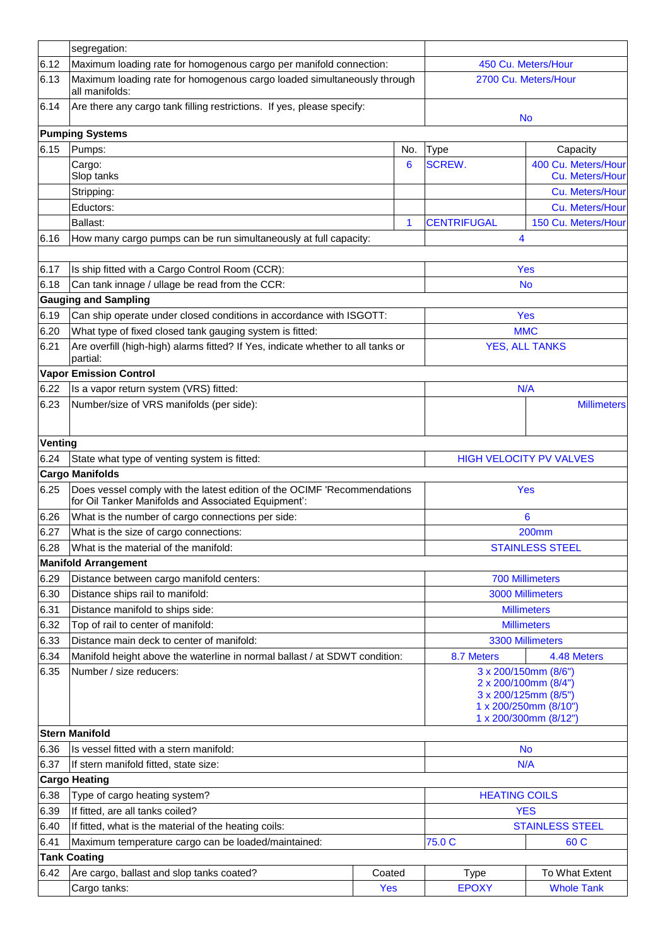|                | segregation:                                                                                                                    |                                                                                                                        |                        |                                        |  |
|----------------|---------------------------------------------------------------------------------------------------------------------------------|------------------------------------------------------------------------------------------------------------------------|------------------------|----------------------------------------|--|
| 6.12           | Maximum loading rate for homogenous cargo per manifold connection:                                                              | 450 Cu. Meters/Hour                                                                                                    |                        |                                        |  |
| 6.13           | Maximum loading rate for homogenous cargo loaded simultaneously through<br>all manifolds:                                       | 2700 Cu. Meters/Hour                                                                                                   |                        |                                        |  |
| 6.14           | Are there any cargo tank filling restrictions. If yes, please specify:                                                          |                                                                                                                        | <b>No</b>              |                                        |  |
|                | <b>Pumping Systems</b>                                                                                                          |                                                                                                                        |                        |                                        |  |
| 6.15           | Pumps:                                                                                                                          | No.                                                                                                                    | <b>Type</b>            | Capacity                               |  |
|                | Cargo:<br>Slop tanks                                                                                                            | 6                                                                                                                      | <b>SCREW.</b>          | 400 Cu. Meters/Hour<br>Cu. Meters/Hour |  |
|                | Stripping:                                                                                                                      |                                                                                                                        |                        | Cu. Meters/Hour                        |  |
|                | Eductors:                                                                                                                       |                                                                                                                        |                        | Cu. Meters/Hour                        |  |
|                | Ballast:                                                                                                                        | $\mathbf 1$                                                                                                            | <b>CENTRIFUGAL</b>     | 150 Cu. Meters/Hour                    |  |
| 6.16           | How many cargo pumps can be run simultaneously at full capacity:                                                                |                                                                                                                        |                        | 4                                      |  |
| 6.17           | Is ship fitted with a Cargo Control Room (CCR):                                                                                 |                                                                                                                        |                        | Yes                                    |  |
| 6.18           | Can tank innage / ullage be read from the CCR:                                                                                  |                                                                                                                        |                        | <b>No</b>                              |  |
|                | <b>Gauging and Sampling</b>                                                                                                     |                                                                                                                        |                        |                                        |  |
| 6.19           | Can ship operate under closed conditions in accordance with ISGOTT:                                                             |                                                                                                                        |                        | <b>Yes</b>                             |  |
| 6.20           | What type of fixed closed tank gauging system is fitted:                                                                        |                                                                                                                        |                        | MMC                                    |  |
| 6.21           | Are overfill (high-high) alarms fitted? If Yes, indicate whether to all tanks or<br>partial:                                    |                                                                                                                        |                        | <b>YES, ALL TANKS</b>                  |  |
|                | <b>Vapor Emission Control</b>                                                                                                   |                                                                                                                        |                        |                                        |  |
| 6.22           | Is a vapor return system (VRS) fitted:                                                                                          |                                                                                                                        |                        | N/A                                    |  |
| 6.23           | Number/size of VRS manifolds (per side):                                                                                        |                                                                                                                        |                        | <b>Millimeters</b>                     |  |
| <b>Venting</b> |                                                                                                                                 |                                                                                                                        |                        |                                        |  |
| 6.24           | State what type of venting system is fitted:                                                                                    |                                                                                                                        |                        | <b>HIGH VELOCITY PV VALVES</b>         |  |
|                | <b>Cargo Manifolds</b>                                                                                                          |                                                                                                                        |                        |                                        |  |
| 6.25           | Does vessel comply with the latest edition of the OCIMF 'Recommendations<br>for Oil Tanker Manifolds and Associated Equipment': |                                                                                                                        | <b>Yes</b>             |                                        |  |
| 6.26           | What is the number of cargo connections per side:                                                                               |                                                                                                                        |                        | 6                                      |  |
| 6.27           | What is the size of cargo connections:                                                                                          |                                                                                                                        |                        | <b>200mm</b>                           |  |
| 6.28           | What is the material of the manifold:                                                                                           |                                                                                                                        |                        | <b>STAINLESS STEEL</b>                 |  |
|                | <b>Manifold Arrangement</b>                                                                                                     |                                                                                                                        |                        |                                        |  |
| 6.29           | Distance between cargo manifold centers:                                                                                        |                                                                                                                        |                        | <b>700 Millimeters</b>                 |  |
| 6.30           | Distance ships rail to manifold:                                                                                                |                                                                                                                        | 3000 Millimeters       |                                        |  |
| 6.31           | Distance manifold to ships side:                                                                                                |                                                                                                                        | <b>Millimeters</b>     |                                        |  |
| 6.32           | Top of rail to center of manifold:                                                                                              |                                                                                                                        | <b>Millimeters</b>     |                                        |  |
| 6.33           | Distance main deck to center of manifold:                                                                                       |                                                                                                                        | 3300 Millimeters       |                                        |  |
| 6.34           | Manifold height above the waterline in normal ballast / at SDWT condition:                                                      |                                                                                                                        | 8.7 Meters             | 4.48 Meters                            |  |
| 6.35           | Number / size reducers:                                                                                                         | 3 x 200/150mm (8/6")<br>2 x 200/100mm (8/4")<br>3 x 200/125mm (8/5")<br>1 x 200/250mm (8/10")<br>1 x 200/300mm (8/12") |                        |                                        |  |
|                | <b>Stern Manifold</b>                                                                                                           |                                                                                                                        |                        |                                        |  |
| 6.36           | Is vessel fitted with a stern manifold:                                                                                         | <b>No</b>                                                                                                              |                        |                                        |  |
| 6.37           | If stern manifold fitted, state size:                                                                                           |                                                                                                                        |                        | N/A                                    |  |
|                | <b>Cargo Heating</b>                                                                                                            |                                                                                                                        |                        |                                        |  |
| 6.38           | Type of cargo heating system?                                                                                                   | <b>HEATING COILS</b>                                                                                                   |                        |                                        |  |
| 6.39           | If fitted, are all tanks coiled?                                                                                                | <b>YES</b>                                                                                                             |                        |                                        |  |
| 6.40           | If fitted, what is the material of the heating coils:                                                                           |                                                                                                                        | <b>STAINLESS STEEL</b> |                                        |  |
| 6.41           | Maximum temperature cargo can be loaded/maintained:                                                                             |                                                                                                                        | 75.0 C                 | 60 C                                   |  |
|                | <b>Tank Coating</b>                                                                                                             |                                                                                                                        |                        |                                        |  |
| 6.42           | Are cargo, ballast and slop tanks coated?                                                                                       | Coated                                                                                                                 | <b>Type</b>            | To What Extent                         |  |
|                | Cargo tanks:                                                                                                                    | Yes                                                                                                                    | <b>EPOXY</b>           | <b>Whole Tank</b>                      |  |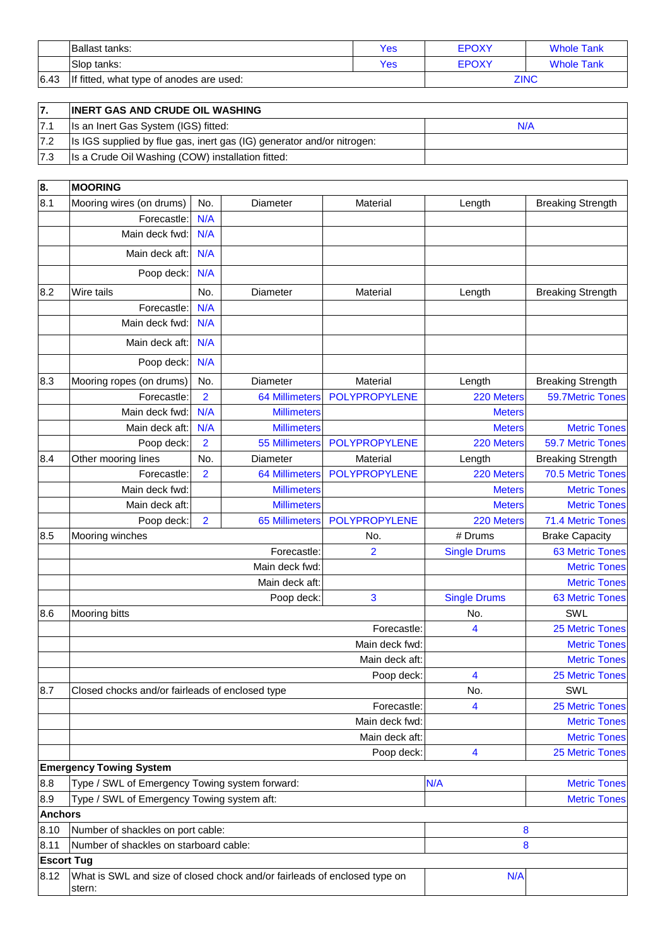|      | Ballast tanks:                           | Yes | <b>EPOXY</b> | <b>Whole Tank</b> |
|------|------------------------------------------|-----|--------------|-------------------|
|      | Slop tanks:                              | Yes | <b>EPOXY</b> | <b>Whole Tank</b> |
| 6.43 | If fitted, what type of anodes are used: |     |              | <b>ZINC</b>       |

| 7.  | <b>INERT GAS AND CRUDE OIL WASHING</b>                                 |     |
|-----|------------------------------------------------------------------------|-----|
| 7.1 | Is an Inert Gas System (IGS) fitted:                                   | N/A |
| 7.2 | Is IGS supplied by flue gas, inert gas (IG) generator and/or nitrogen: |     |
| 7.3 | Is a Crude Oil Washing (COW) installation fitted:                      |     |

| 8.                | <b>MOORING</b>                                                                      |                |                       |                |                     |                          |
|-------------------|-------------------------------------------------------------------------------------|----------------|-----------------------|----------------|---------------------|--------------------------|
| 8.1               | Mooring wires (on drums)                                                            | No.            | Diameter              | Material       | Length              | <b>Breaking Strength</b> |
|                   | Forecastle:                                                                         | N/A            |                       |                |                     |                          |
|                   | Main deck fwd:                                                                      | N/A            |                       |                |                     |                          |
|                   | Main deck aft:                                                                      | N/A            |                       |                |                     |                          |
|                   | Poop deck:                                                                          | N/A            |                       |                |                     |                          |
| 8.2               | Wire tails                                                                          | No.            | Diameter              | Material       | Length              | <b>Breaking Strength</b> |
|                   | Forecastle:                                                                         | N/A            |                       |                |                     |                          |
|                   | Main deck fwd:                                                                      | N/A            |                       |                |                     |                          |
|                   | Main deck aft:                                                                      | N/A            |                       |                |                     |                          |
|                   | Poop deck:                                                                          | N/A            |                       |                |                     |                          |
| 8.3               | Mooring ropes (on drums)                                                            | No.            | Diameter              | Material       | Length              | <b>Breaking Strength</b> |
|                   | Forecastle:                                                                         | $\overline{2}$ | <b>64 Millimeters</b> | POLYPROPYLENE  | 220 Meters          | 59.7Metric Tones         |
|                   | Main deck fwd:                                                                      | N/A            | <b>Millimeters</b>    |                | <b>Meters</b>       |                          |
|                   | Main deck aft:                                                                      | N/A            | <b>Millimeters</b>    |                | <b>Meters</b>       | <b>Metric Tones</b>      |
|                   | Poop deck:                                                                          | $\overline{2}$ | <b>55 Millimeters</b> | POLYPROPYLENE  | 220 Meters          | 59.7 Metric Tones        |
| 8.4               | Other mooring lines                                                                 | No.            | Diameter              | Material       | Length              | <b>Breaking Strength</b> |
|                   | Forecastle:                                                                         | $\overline{2}$ | <b>64 Millimeters</b> | POLYPROPYLENE  | 220 Meters          | 70.5 Metric Tones        |
|                   | Main deck fwd:                                                                      |                | <b>Millimeters</b>    |                | <b>Meters</b>       | <b>Metric Tones</b>      |
|                   | Main deck aft:                                                                      |                | <b>Millimeters</b>    |                | <b>Meters</b>       | <b>Metric Tones</b>      |
|                   | Poop deck:                                                                          | $\overline{2}$ | <b>65 Millimeters</b> | POLYPROPYLENE  | 220 Meters          | 71.4 Metric Tones        |
| 8.5               | Mooring winches                                                                     |                |                       | No.            | # Drums             | <b>Brake Capacity</b>    |
|                   |                                                                                     |                | Forecastle:           | $\overline{2}$ | <b>Single Drums</b> | <b>63 Metric Tones</b>   |
|                   |                                                                                     |                | Main deck fwd:        |                |                     | <b>Metric Tones</b>      |
|                   |                                                                                     |                | Main deck aft:        |                |                     | <b>Metric Tones</b>      |
|                   |                                                                                     |                | Poop deck:            | 3              | <b>Single Drums</b> | <b>63 Metric Tones</b>   |
| 8.6               | Mooring bitts                                                                       |                |                       |                | No.                 | SWL                      |
|                   |                                                                                     |                |                       | Forecastle:    | 4                   | 25 Metric Tones          |
|                   |                                                                                     |                |                       | Main deck fwd: |                     | <b>Metric Tones</b>      |
|                   |                                                                                     |                |                       | Main deck aft: |                     | <b>Metric Tones</b>      |
|                   |                                                                                     |                |                       | Poop deck:     | 4                   | <b>25 Metric Tones</b>   |
| 8.7               | Closed chocks and/or fairleads of enclosed type                                     |                |                       |                | No.                 | SWL                      |
|                   |                                                                                     |                |                       | Forecastle:    | 4                   | <b>25 Metric Tones</b>   |
|                   |                                                                                     |                |                       | Main deck fwd: |                     | <b>Metric Tones</b>      |
|                   |                                                                                     |                |                       | Main deck aft: |                     | <b>Metric Tones</b>      |
|                   |                                                                                     |                |                       | Poop deck:     | 4                   | <b>25 Metric Tones</b>   |
|                   | <b>Emergency Towing System</b>                                                      |                |                       |                |                     |                          |
| 8.8               | Type / SWL of Emergency Towing system forward:                                      |                |                       |                | N/A                 | <b>Metric Tones</b>      |
| 8.9               | Type / SWL of Emergency Towing system aft:                                          |                |                       |                |                     | <b>Metric Tones</b>      |
|                   | <b>Anchors</b>                                                                      |                |                       |                |                     |                          |
| 8.10              | Number of shackles on port cable:                                                   |                |                       | 8              |                     |                          |
| 8.11              | Number of shackles on starboard cable:                                              |                |                       |                | 8                   |                          |
| <b>Escort Tug</b> |                                                                                     |                |                       |                |                     |                          |
| 8.12              | What is SWL and size of closed chock and/or fairleads of enclosed type on<br>stern: |                |                       |                | N/A                 |                          |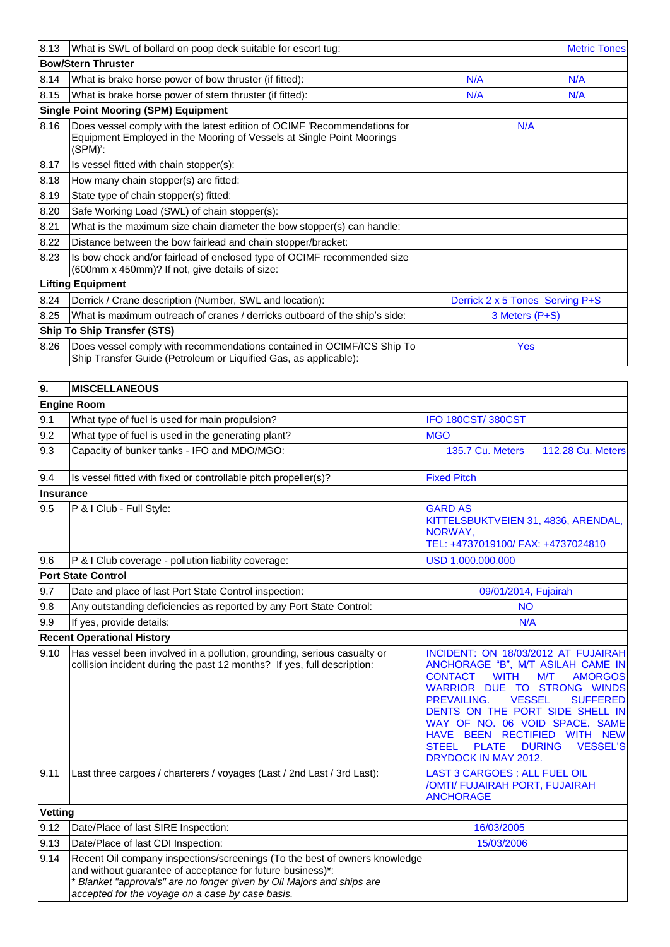| 8.13<br><b>Metric Tones</b><br>What is SWL of bollard on poop deck suitable for escort tug: |                                                                                                                                                                                                                                                                     |                                                                                                                                                                                                                                                                                                                                                                                                                                 |                          |
|---------------------------------------------------------------------------------------------|---------------------------------------------------------------------------------------------------------------------------------------------------------------------------------------------------------------------------------------------------------------------|---------------------------------------------------------------------------------------------------------------------------------------------------------------------------------------------------------------------------------------------------------------------------------------------------------------------------------------------------------------------------------------------------------------------------------|--------------------------|
|                                                                                             | <b>Bow/Stern Thruster</b>                                                                                                                                                                                                                                           |                                                                                                                                                                                                                                                                                                                                                                                                                                 |                          |
| 8.14                                                                                        | What is brake horse power of bow thruster (if fitted):                                                                                                                                                                                                              | N/A                                                                                                                                                                                                                                                                                                                                                                                                                             | N/A                      |
| 8.15                                                                                        | What is brake horse power of stern thruster (if fitted):                                                                                                                                                                                                            | N/A                                                                                                                                                                                                                                                                                                                                                                                                                             | N/A                      |
| <b>Single Point Mooring (SPM) Equipment</b>                                                 |                                                                                                                                                                                                                                                                     |                                                                                                                                                                                                                                                                                                                                                                                                                                 |                          |
| 8.16                                                                                        | Does vessel comply with the latest edition of OCIMF 'Recommendations for<br>Equipment Employed in the Mooring of Vessels at Single Point Moorings<br>(SPM)':                                                                                                        | N/A                                                                                                                                                                                                                                                                                                                                                                                                                             |                          |
| 8.17                                                                                        | Is vessel fitted with chain stopper(s):                                                                                                                                                                                                                             |                                                                                                                                                                                                                                                                                                                                                                                                                                 |                          |
| 8.18                                                                                        | How many chain stopper(s) are fitted:                                                                                                                                                                                                                               |                                                                                                                                                                                                                                                                                                                                                                                                                                 |                          |
| 8.19                                                                                        | State type of chain stopper(s) fitted:                                                                                                                                                                                                                              |                                                                                                                                                                                                                                                                                                                                                                                                                                 |                          |
| 8.20                                                                                        | Safe Working Load (SWL) of chain stopper(s):                                                                                                                                                                                                                        |                                                                                                                                                                                                                                                                                                                                                                                                                                 |                          |
| 8.21                                                                                        | What is the maximum size chain diameter the bow stopper(s) can handle:                                                                                                                                                                                              |                                                                                                                                                                                                                                                                                                                                                                                                                                 |                          |
| 8.22                                                                                        | Distance between the bow fairlead and chain stopper/bracket:                                                                                                                                                                                                        |                                                                                                                                                                                                                                                                                                                                                                                                                                 |                          |
| 8.23                                                                                        | Is bow chock and/or fairlead of enclosed type of OCIMF recommended size<br>(600mm x 450mm)? If not, give details of size:                                                                                                                                           |                                                                                                                                                                                                                                                                                                                                                                                                                                 |                          |
|                                                                                             | <b>Lifting Equipment</b>                                                                                                                                                                                                                                            |                                                                                                                                                                                                                                                                                                                                                                                                                                 |                          |
| 8.24                                                                                        | Derrick / Crane description (Number, SWL and location):                                                                                                                                                                                                             | Derrick 2 x 5 Tones Serving P+S                                                                                                                                                                                                                                                                                                                                                                                                 |                          |
| 8.25                                                                                        | What is maximum outreach of cranes / derricks outboard of the ship's side:                                                                                                                                                                                          | 3 Meters (P+S)                                                                                                                                                                                                                                                                                                                                                                                                                  |                          |
| <b>Ship To Ship Transfer (STS)</b>                                                          |                                                                                                                                                                                                                                                                     |                                                                                                                                                                                                                                                                                                                                                                                                                                 |                          |
| 8.26                                                                                        | Does vessel comply with recommendations contained in OCIMF/ICS Ship To<br>Ship Transfer Guide (Petroleum or Liquified Gas, as applicable):                                                                                                                          | Yes                                                                                                                                                                                                                                                                                                                                                                                                                             |                          |
|                                                                                             |                                                                                                                                                                                                                                                                     |                                                                                                                                                                                                                                                                                                                                                                                                                                 |                          |
| <b>MISCELLANEOUS</b><br>9.                                                                  |                                                                                                                                                                                                                                                                     |                                                                                                                                                                                                                                                                                                                                                                                                                                 |                          |
|                                                                                             | <b>Engine Room</b>                                                                                                                                                                                                                                                  |                                                                                                                                                                                                                                                                                                                                                                                                                                 |                          |
| 9.1                                                                                         | What type of fuel is used for main propulsion?                                                                                                                                                                                                                      | IFO 180CST/380CST                                                                                                                                                                                                                                                                                                                                                                                                               |                          |
| 9.2                                                                                         | What type of fuel is used in the generating plant?                                                                                                                                                                                                                  | <b>MGO</b>                                                                                                                                                                                                                                                                                                                                                                                                                      |                          |
| 9.3                                                                                         | Capacity of bunker tanks - IFO and MDO/MGO:                                                                                                                                                                                                                         | 135.7 Cu. Meters                                                                                                                                                                                                                                                                                                                                                                                                                | <b>112.28 Cu. Meters</b> |
| 9.4                                                                                         | Is vessel fitted with fixed or controllable pitch propeller(s)?                                                                                                                                                                                                     | <b>Fixed Pitch</b>                                                                                                                                                                                                                                                                                                                                                                                                              |                          |
| <b>Insurance</b>                                                                            |                                                                                                                                                                                                                                                                     |                                                                                                                                                                                                                                                                                                                                                                                                                                 |                          |
| 9.5                                                                                         | P & I Club - Full Style:                                                                                                                                                                                                                                            | <b>GARD AS</b><br>KITTELSBUKTVEIEN 31, 4836, ARENDAL,<br>NORWAY,<br>TEL: +4737019100/ FAX: +4737024810                                                                                                                                                                                                                                                                                                                          |                          |
| 9.6                                                                                         | P & I Club coverage - pollution liability coverage:                                                                                                                                                                                                                 | USD 1.000.000.000                                                                                                                                                                                                                                                                                                                                                                                                               |                          |
|                                                                                             | <b>Port State Control</b>                                                                                                                                                                                                                                           |                                                                                                                                                                                                                                                                                                                                                                                                                                 |                          |
| 9.7                                                                                         | Date and place of last Port State Control inspection:                                                                                                                                                                                                               | 09/01/2014, Fujairah                                                                                                                                                                                                                                                                                                                                                                                                            |                          |
| 9.8                                                                                         | Any outstanding deficiencies as reported by any Port State Control:                                                                                                                                                                                                 | <b>NO</b>                                                                                                                                                                                                                                                                                                                                                                                                                       |                          |
| 9.9                                                                                         | If yes, provide details:                                                                                                                                                                                                                                            | N/A                                                                                                                                                                                                                                                                                                                                                                                                                             |                          |
| <b>Recent Operational History</b>                                                           |                                                                                                                                                                                                                                                                     |                                                                                                                                                                                                                                                                                                                                                                                                                                 |                          |
| 9.10                                                                                        | Has vessel been involved in a pollution, grounding, serious casualty or<br>collision incident during the past 12 months? If yes, full description:                                                                                                                  | INCIDENT: ON 18/03/2012 AT FUJAIRAH<br>ANCHORAGE "B", M/T ASILAH CAME IN<br><b>CONTACT</b><br><b>WITH</b><br>M/T<br><b>AMORGOS</b><br><b>WARRIOR DUE</b><br>TO STRONG WINDS<br>PREVAILING.<br><b>VESSEL</b><br><b>SUFFERED</b><br>DENTS ON THE PORT SIDE SHELL IN<br>WAY OF NO. 06 VOID SPACE. SAME<br>HAVE BEEN RECTIFIED WITH NEW<br><b>PLATE</b><br><b>VESSEL'S</b><br><b>STEEL</b><br><b>DURING</b><br>DRYDOCK IN MAY 2012. |                          |
| 9.11                                                                                        | Last three cargoes / charterers / voyages (Last / 2nd Last / 3rd Last):                                                                                                                                                                                             | LAST 3 CARGOES : ALL FUEL OIL<br>/OMTI/ FUJAIRAH PORT, FUJAIRAH<br><b>ANCHORAGE</b>                                                                                                                                                                                                                                                                                                                                             |                          |
| <b>Vetting</b>                                                                              |                                                                                                                                                                                                                                                                     |                                                                                                                                                                                                                                                                                                                                                                                                                                 |                          |
| 9.12                                                                                        | Date/Place of last SIRE Inspection:                                                                                                                                                                                                                                 | 16/03/2005                                                                                                                                                                                                                                                                                                                                                                                                                      |                          |
| 9.13                                                                                        | Date/Place of last CDI Inspection:                                                                                                                                                                                                                                  | 15/03/2006                                                                                                                                                                                                                                                                                                                                                                                                                      |                          |
| 9.14                                                                                        | Recent Oil company inspections/screenings (To the best of owners knowledge<br>and without guarantee of acceptance for future business)*:<br>Blanket "approvals" are no longer given by Oil Majors and ships are<br>accepted for the voyage on a case by case basis. |                                                                                                                                                                                                                                                                                                                                                                                                                                 |                          |